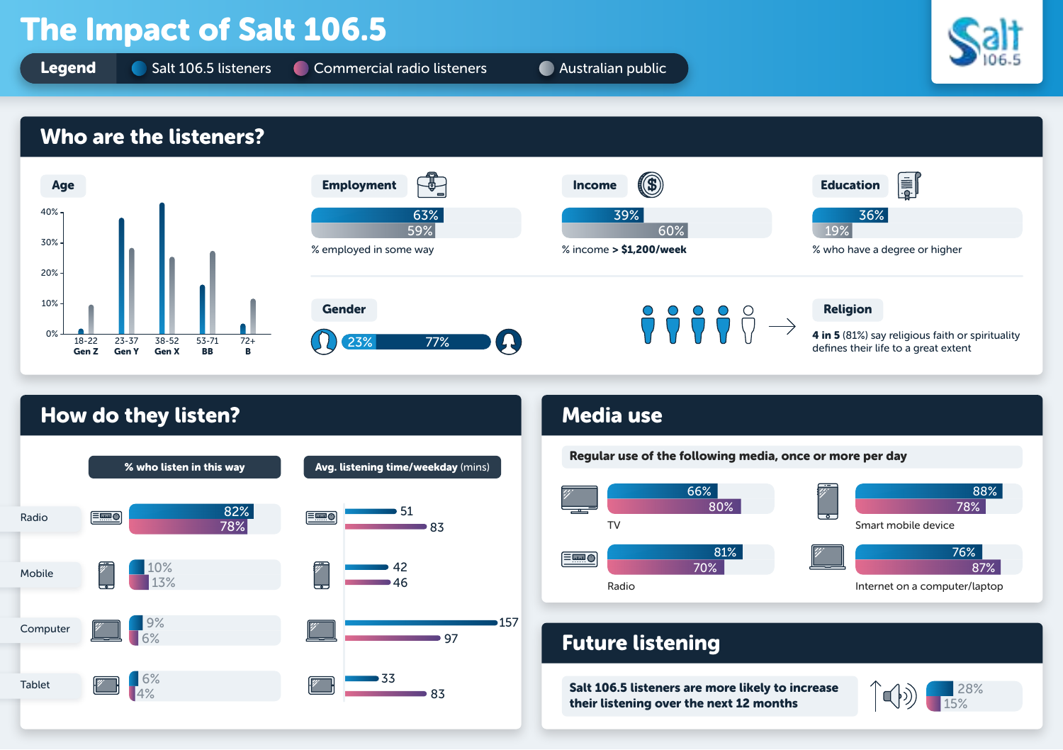# The Impact of Salt 106.5

**Legend** Salt 106.5 listeners Commercial radio listeners Australian public



### Who are the listeners?





### How do they listen? Media use





### Future listening

Salt 106.5 listeners are more likely to increase their listening over the next 12 months